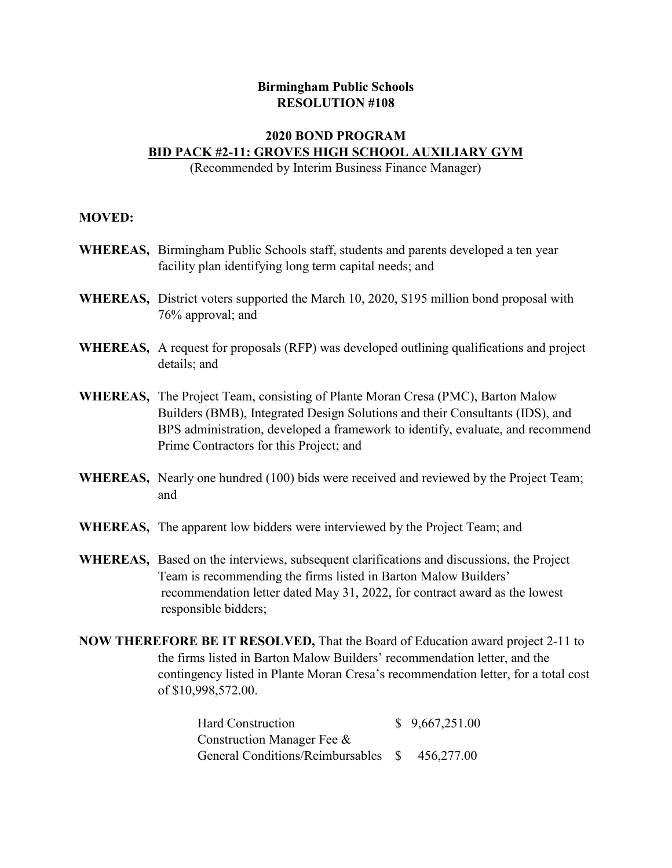## **Birmingham Public Schools RESOLUTION #108**

## **2020 BOND PROGRAM BID PACK #2‐11: GROVES HIGH SCHOOL AUXILIARY GYM**

(Recommended by Interim Business Finance Manager)

## **MOVED:**

- **WHEREAS,** Birmingham Public Schools staff, students and parents developed a ten year facility plan identifying long term capital needs; and
- **WHEREAS,** District voters supported the March 10, 2020, \$195 million bond proposal with 76% approval; and
- **WHEREAS,** A request for proposals (RFP) was developed outlining qualifications and project details; and
- **WHEREAS,** The Project Team, consisting of Plante Moran Cresa (PMC), Barton Malow Builders (BMB), Integrated Design Solutions and their Consultants (IDS), and BPS administration, developed a framework to identify, evaluate, and recommend Prime Contractors for this Project; and
- **WHEREAS,** Nearly one hundred (100) bids were received and reviewed by the Project Team; and
- **WHEREAS,** The apparent low bidders were interviewed by the Project Team; and
- **WHEREAS,** Based on the interviews, subsequent clarifications and discussions, the Project Team is recommending the firms listed in Barton Malow Builders' recommendation letter dated May 31, 2022, for contract award as the lowest responsible bidders;
- **NOW THEREFORE BE IT RESOLVED,** That the Board of Education award project 2-11 to the firms listed in Barton Malow Builders' recommendation letter, and the contingency listed in Plante Moran Cresa's recommendation letter, for a total cost of \$10,998,572.00.

| Hard Construction                              | \$9,667,251.00 |
|------------------------------------------------|----------------|
| Construction Manager Fee &                     |                |
| General Conditions/Reimbursables \$ 456,277.00 |                |